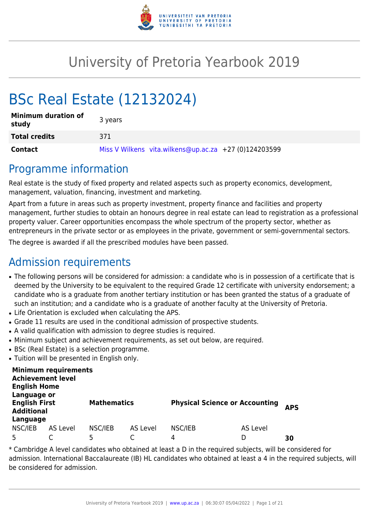

# University of Pretoria Yearbook 2019

# BSc Real Estate (12132024)

| <b>Minimum duration of</b><br>study | 3 years                                               |
|-------------------------------------|-------------------------------------------------------|
| <b>Total credits</b>                | 371                                                   |
| Contact                             | Miss V Wilkens vita.wilkens@up.ac.za +27 (0)124203599 |

# Programme information

Real estate is the study of fixed property and related aspects such as property economics, development, management, valuation, financing, investment and marketing.

Apart from a future in areas such as property investment, property finance and facilities and property management, further studies to obtain an honours degree in real estate can lead to registration as a professional property valuer. Career opportunities encompass the whole spectrum of the property sector, whether as entrepreneurs in the private sector or as employees in the private, government or semi-governmental sectors.

The degree is awarded if all the prescribed modules have been passed.

# Admission requirements

- The following persons will be considered for admission: a candidate who is in possession of a certificate that is deemed by the University to be equivalent to the required Grade 12 certificate with university endorsement; a candidate who is a graduate from another tertiary institution or has been granted the status of a graduate of such an institution; and a candidate who is a graduate of another faculty at the University of Pretoria.
- Life Orientation is excluded when calculating the APS.
- Grade 11 results are used in the conditional admission of prospective students.
- A valid qualification with admission to degree studies is required.
- Minimum subject and achievement requirements, as set out below, are required.
- BSc (Real Estate) is a selection programme.
- Tuition will be presented in English only.

| <b>Minimum requirements</b><br><b>Achievement level</b><br><b>English Home</b><br>Language or |                 |                    |          |                                       |          |            |
|-----------------------------------------------------------------------------------------------|-----------------|--------------------|----------|---------------------------------------|----------|------------|
| <b>English First</b><br><b>Additional</b>                                                     |                 | <b>Mathematics</b> |          | <b>Physical Science or Accounting</b> |          | <b>APS</b> |
| Language                                                                                      |                 |                    |          |                                       |          |            |
| NSC/IEB                                                                                       | <b>AS Level</b> | NSC/IEB            | AS Level | NSC/IEB                               | AS Level |            |
| 5                                                                                             |                 | 5                  |          | 4                                     | D        | 30         |

\* Cambridge A level candidates who obtained at least a D in the required subjects, will be considered for admission. International Baccalaureate (IB) HL candidates who obtained at least a 4 in the required subjects, will be considered for admission.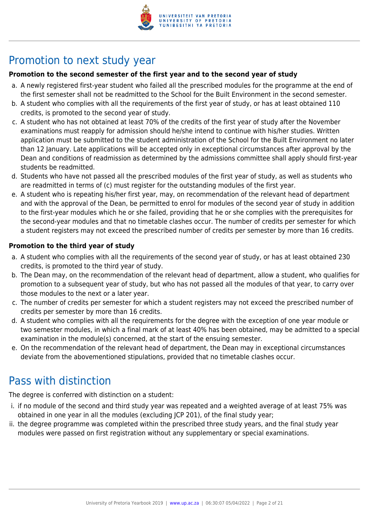

# Promotion to next study year

### **Promotion to the second semester of the first year and to the second year of study**

- a. A newly registered first-year student who failed all the prescribed modules for the programme at the end of the first semester shall not be readmitted to the School for the Built Environment in the second semester.
- b. A student who complies with all the requirements of the first year of study, or has at least obtained 110 credits, is promoted to the second year of study.
- c. A student who has not obtained at least 70% of the credits of the first year of study after the November examinations must reapply for admission should he/she intend to continue with his/her studies. Written application must be submitted to the student administration of the School for the Built Environment no later than 12 January. Late applications will be accepted only in exceptional circumstances after approval by the Dean and conditions of readmission as determined by the admissions committee shall apply should first-year students be readmitted.
- d. Students who have not passed all the prescribed modules of the first year of study, as well as students who are readmitted in terms of (c) must register for the outstanding modules of the first year.
- e. A student who is repeating his/her first year, may, on recommendation of the relevant head of department and with the approval of the Dean, be permitted to enrol for modules of the second year of study in addition to the first-year modules which he or she failed, providing that he or she complies with the prerequisites for the second-year modules and that no timetable clashes occur. The number of credits per semester for which a student registers may not exceed the prescribed number of credits per semester by more than 16 credits.

#### **Promotion to the third year of study**

- a. A student who complies with all the requirements of the second year of study, or has at least obtained 230 credits, is promoted to the third year of study.
- b. The Dean may, on the recommendation of the relevant head of department, allow a student, who qualifies for promotion to a subsequent year of study, but who has not passed all the modules of that year, to carry over those modules to the next or a later year.
- c. The number of credits per semester for which a student registers may not exceed the prescribed number of credits per semester by more than 16 credits.
- d. A student who complies with all the requirements for the degree with the exception of one year module or two semester modules, in which a final mark of at least 40% has been obtained, may be admitted to a special examination in the module(s) concerned, at the start of the ensuing semester.
- e. On the recommendation of the relevant head of department, the Dean may in exceptional circumstances deviate from the abovementioned stipulations, provided that no timetable clashes occur.

# Pass with distinction

The degree is conferred with distinction on a student:

- i. if no module of the second and third study year was repeated and a weighted average of at least 75% was obtained in one year in all the modules (excluding JCP 201), of the final study year;
- ii. the degree programme was completed within the prescribed three study years, and the final study year modules were passed on first registration without any supplementary or special examinations.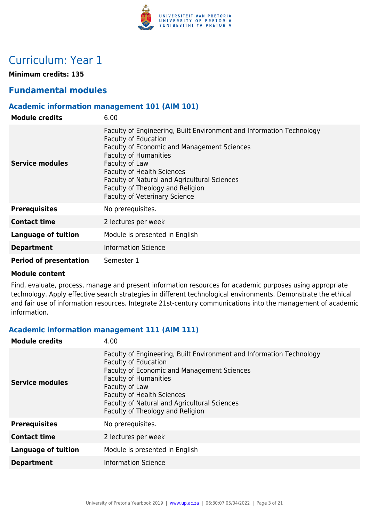

# Curriculum: Year 1

**Minimum credits: 135**

# **Fundamental modules**

### **Academic information management 101 (AIM 101)**

| <b>Module credits</b>         | 6.00                                                                                                                                                                                                                                                                                                                                                                  |
|-------------------------------|-----------------------------------------------------------------------------------------------------------------------------------------------------------------------------------------------------------------------------------------------------------------------------------------------------------------------------------------------------------------------|
| Service modules               | Faculty of Engineering, Built Environment and Information Technology<br><b>Faculty of Education</b><br>Faculty of Economic and Management Sciences<br><b>Faculty of Humanities</b><br>Faculty of Law<br><b>Faculty of Health Sciences</b><br>Faculty of Natural and Agricultural Sciences<br>Faculty of Theology and Religion<br><b>Faculty of Veterinary Science</b> |
| <b>Prerequisites</b>          | No prerequisites.                                                                                                                                                                                                                                                                                                                                                     |
| <b>Contact time</b>           | 2 lectures per week                                                                                                                                                                                                                                                                                                                                                   |
| Language of tuition           | Module is presented in English                                                                                                                                                                                                                                                                                                                                        |
| <b>Department</b>             | <b>Information Science</b>                                                                                                                                                                                                                                                                                                                                            |
| <b>Period of presentation</b> | Semester 1                                                                                                                                                                                                                                                                                                                                                            |

#### **Module content**

Find, evaluate, process, manage and present information resources for academic purposes using appropriate technology. Apply effective search strategies in different technological environments. Demonstrate the ethical and fair use of information resources. Integrate 21st-century communications into the management of academic information.

#### **Academic information management 111 (AIM 111)**

| <b>Module credits</b>      | 4.00                                                                                                                                                                                                                                                                                                                                 |
|----------------------------|--------------------------------------------------------------------------------------------------------------------------------------------------------------------------------------------------------------------------------------------------------------------------------------------------------------------------------------|
| Service modules            | Faculty of Engineering, Built Environment and Information Technology<br><b>Faculty of Education</b><br><b>Faculty of Economic and Management Sciences</b><br><b>Faculty of Humanities</b><br>Faculty of Law<br><b>Faculty of Health Sciences</b><br>Faculty of Natural and Agricultural Sciences<br>Faculty of Theology and Religion |
| <b>Prerequisites</b>       | No prerequisites.                                                                                                                                                                                                                                                                                                                    |
| <b>Contact time</b>        | 2 lectures per week                                                                                                                                                                                                                                                                                                                  |
| <b>Language of tuition</b> | Module is presented in English                                                                                                                                                                                                                                                                                                       |
| <b>Department</b>          | <b>Information Science</b>                                                                                                                                                                                                                                                                                                           |
|                            |                                                                                                                                                                                                                                                                                                                                      |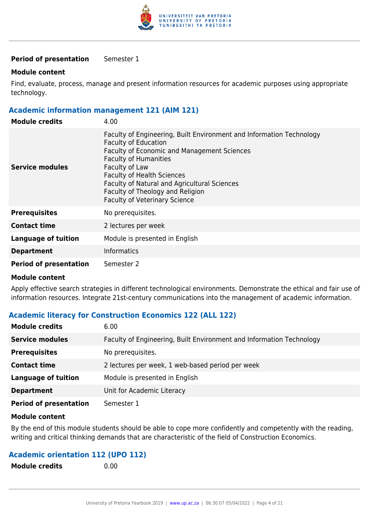

#### **Period of presentation** Semester 1

#### **Module content**

Find, evaluate, process, manage and present information resources for academic purposes using appropriate technology.

#### **Academic information management 121 (AIM 121)**

| <b>Module credits</b>         | 4.00                                                                                                                                                                                                                                                                                                                                                                         |
|-------------------------------|------------------------------------------------------------------------------------------------------------------------------------------------------------------------------------------------------------------------------------------------------------------------------------------------------------------------------------------------------------------------------|
| Service modules               | Faculty of Engineering, Built Environment and Information Technology<br><b>Faculty of Education</b><br><b>Faculty of Economic and Management Sciences</b><br><b>Faculty of Humanities</b><br>Faculty of Law<br><b>Faculty of Health Sciences</b><br>Faculty of Natural and Agricultural Sciences<br>Faculty of Theology and Religion<br><b>Faculty of Veterinary Science</b> |
| <b>Prerequisites</b>          | No prerequisites.                                                                                                                                                                                                                                                                                                                                                            |
| <b>Contact time</b>           | 2 lectures per week                                                                                                                                                                                                                                                                                                                                                          |
| <b>Language of tuition</b>    | Module is presented in English                                                                                                                                                                                                                                                                                                                                               |
| <b>Department</b>             | <b>Informatics</b>                                                                                                                                                                                                                                                                                                                                                           |
| <b>Period of presentation</b> | Semester 2                                                                                                                                                                                                                                                                                                                                                                   |

#### **Module content**

Apply effective search strategies in different technological environments. Demonstrate the ethical and fair use of information resources. Integrate 21st-century communications into the management of academic information.

#### **Academic literacy for Construction Economics 122 (ALL 122)**

| <b>Module credits</b>         | 6.00                                                                 |
|-------------------------------|----------------------------------------------------------------------|
| <b>Service modules</b>        | Faculty of Engineering, Built Environment and Information Technology |
| <b>Prerequisites</b>          | No prerequisites.                                                    |
| <b>Contact time</b>           | 2 lectures per week, 1 web-based period per week                     |
| <b>Language of tuition</b>    | Module is presented in English                                       |
| <b>Department</b>             | Unit for Academic Literacy                                           |
| <b>Period of presentation</b> | Semester 1                                                           |

#### **Module content**

By the end of this module students should be able to cope more confidently and competently with the reading, writing and critical thinking demands that are characteristic of the field of Construction Economics.

#### **Academic orientation 112 (UPO 112)**

| <b>Module credits</b> | 0.00 |
|-----------------------|------|
|                       |      |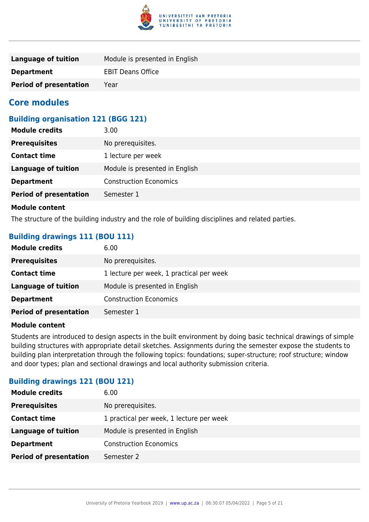

| Language of tuition           | Module is presented in English |
|-------------------------------|--------------------------------|
| <b>Department</b>             | <b>EBIT Deans Office</b>       |
| <b>Period of presentation</b> | Year                           |

# **Core modules**

# **Building organisation 121 (BGG 121)**

| <b>Module credits</b>         | 3.00                           |
|-------------------------------|--------------------------------|
| <b>Prerequisites</b>          | No prerequisites.              |
| <b>Contact time</b>           | 1 lecture per week             |
| <b>Language of tuition</b>    | Module is presented in English |
| <b>Department</b>             | <b>Construction Economics</b>  |
| <b>Period of presentation</b> | Semester 1                     |
|                               |                                |

#### **Module content**

The structure of the building industry and the role of building disciplines and related parties.

# **Building drawings 111 (BOU 111)**

| <b>Module credits</b>         | 6.00                                     |
|-------------------------------|------------------------------------------|
| <b>Prerequisites</b>          | No prerequisites.                        |
| <b>Contact time</b>           | 1 lecture per week, 1 practical per week |
| Language of tuition           | Module is presented in English           |
| <b>Department</b>             | <b>Construction Economics</b>            |
| <b>Period of presentation</b> | Semester 1                               |

#### **Module content**

Students are introduced to design aspects in the built environment by doing basic technical drawings of simple building structures with appropriate detail sketches. Assignments during the semester expose the students to building plan interpretation through the following topics: foundations; super-structure; roof structure; window and door types; plan and sectional drawings and local authority submission criteria.

#### **Building drawings 121 (BOU 121)**

| No prerequisites.<br><b>Prerequisites</b>                       |
|-----------------------------------------------------------------|
|                                                                 |
| 1 practical per week, 1 lecture per week<br><b>Contact time</b> |
| Module is presented in English<br><b>Language of tuition</b>    |
| <b>Construction Economics</b><br><b>Department</b>              |
| <b>Period of presentation</b><br>Semester 2                     |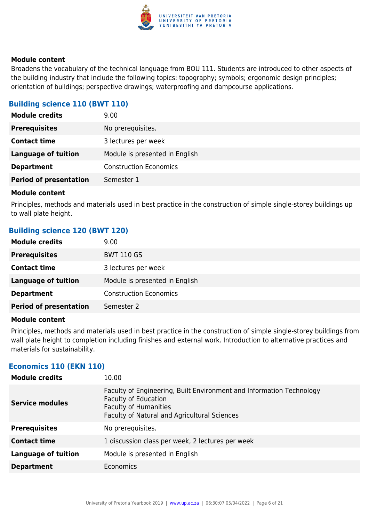

Broadens the vocabulary of the technical language from BOU 111. Students are introduced to other aspects of the building industry that include the following topics: topography; symbols; ergonomic design principles; orientation of buildings; perspective drawings; waterproofing and dampcourse applications.

### **Building science 110 (BWT 110)**

| <b>Module credits</b>         | 9.00                           |
|-------------------------------|--------------------------------|
| <b>Prerequisites</b>          | No prerequisites.              |
| <b>Contact time</b>           | 3 lectures per week            |
| <b>Language of tuition</b>    | Module is presented in English |
| <b>Department</b>             | <b>Construction Economics</b>  |
| <b>Period of presentation</b> | Semester 1                     |
|                               |                                |

#### **Module content**

Principles, methods and materials used in best practice in the construction of simple single-storey buildings up to wall plate height.

#### **Building science 120 (BWT 120)**

| <b>Module credits</b>         | 9.00                           |
|-------------------------------|--------------------------------|
| <b>Prerequisites</b>          | <b>BWT 110 GS</b>              |
| <b>Contact time</b>           | 3 lectures per week            |
| Language of tuition           | Module is presented in English |
| <b>Department</b>             | <b>Construction Economics</b>  |
| <b>Period of presentation</b> | Semester 2                     |

#### **Module content**

Principles, methods and materials used in best practice in the construction of simple single-storey buildings from wall plate height to completion including finishes and external work. Introduction to alternative practices and materials for sustainability.

#### **Economics 110 (EKN 110)**

| <b>Module credits</b>      | 10.00                                                                                                                                                                               |
|----------------------------|-------------------------------------------------------------------------------------------------------------------------------------------------------------------------------------|
| <b>Service modules</b>     | Faculty of Engineering, Built Environment and Information Technology<br><b>Faculty of Education</b><br><b>Faculty of Humanities</b><br>Faculty of Natural and Agricultural Sciences |
| <b>Prerequisites</b>       | No prerequisites.                                                                                                                                                                   |
| <b>Contact time</b>        | 1 discussion class per week, 2 lectures per week                                                                                                                                    |
| <b>Language of tuition</b> | Module is presented in English                                                                                                                                                      |
| <b>Department</b>          | Economics                                                                                                                                                                           |
|                            |                                                                                                                                                                                     |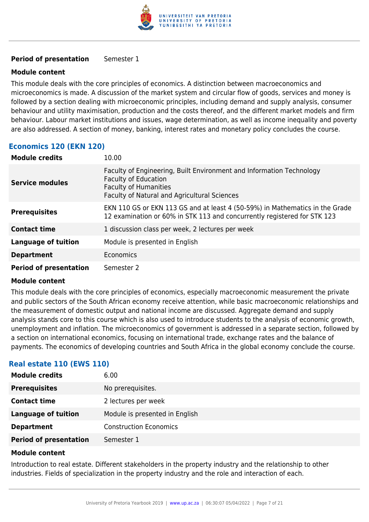

#### **Period of presentation** Semester 1

#### **Module content**

This module deals with the core principles of economics. A distinction between macroeconomics and microeconomics is made. A discussion of the market system and circular flow of goods, services and money is followed by a section dealing with microeconomic principles, including demand and supply analysis, consumer behaviour and utility maximisation, production and the costs thereof, and the different market models and firm behaviour. Labour market institutions and issues, wage determination, as well as income inequality and poverty are also addressed. A section of money, banking, interest rates and monetary policy concludes the course.

# **Economics 120 (EKN 120)**

| <b>Module credits</b>         | 10.00                                                                                                                                                                               |
|-------------------------------|-------------------------------------------------------------------------------------------------------------------------------------------------------------------------------------|
| <b>Service modules</b>        | Faculty of Engineering, Built Environment and Information Technology<br><b>Faculty of Education</b><br><b>Faculty of Humanities</b><br>Faculty of Natural and Agricultural Sciences |
| <b>Prerequisites</b>          | EKN 110 GS or EKN 113 GS and at least 4 (50-59%) in Mathematics in the Grade<br>12 examination or 60% in STK 113 and concurrently registered for STK 123                            |
| <b>Contact time</b>           | 1 discussion class per week, 2 lectures per week                                                                                                                                    |
| <b>Language of tuition</b>    | Module is presented in English                                                                                                                                                      |
| <b>Department</b>             | Economics                                                                                                                                                                           |
| <b>Period of presentation</b> | Semester 2                                                                                                                                                                          |

#### **Module content**

This module deals with the core principles of economics, especially macroeconomic measurement the private and public sectors of the South African economy receive attention, while basic macroeconomic relationships and the measurement of domestic output and national income are discussed. Aggregate demand and supply analysis stands core to this course which is also used to introduce students to the analysis of economic growth, unemployment and inflation. The microeconomics of government is addressed in a separate section, followed by a section on international economics, focusing on international trade, exchange rates and the balance of payments. The economics of developing countries and South Africa in the global economy conclude the course.

# **Real estate 110 (EWS 110)**

| <b>Module credits</b>         | 6.00                           |
|-------------------------------|--------------------------------|
| <b>Prerequisites</b>          | No prerequisites.              |
| <b>Contact time</b>           | 2 lectures per week            |
| <b>Language of tuition</b>    | Module is presented in English |
| <b>Department</b>             | <b>Construction Economics</b>  |
| <b>Period of presentation</b> | Semester 1                     |

#### **Module content**

Introduction to real estate. Different stakeholders in the property industry and the relationship to other industries. Fields of specialization in the property industry and the role and interaction of each.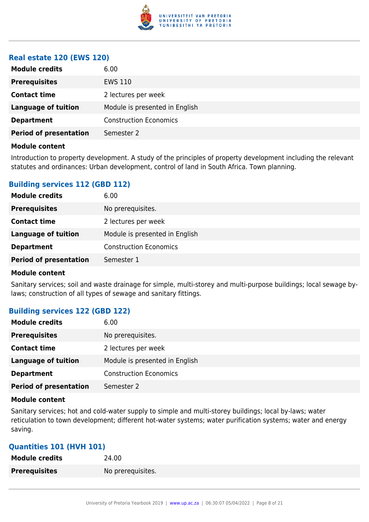

#### **Real estate 120 (EWS 120)**

| <b>Module credits</b>         | 6.00                           |
|-------------------------------|--------------------------------|
| <b>Prerequisites</b>          | EWS 110                        |
| <b>Contact time</b>           | 2 lectures per week            |
| <b>Language of tuition</b>    | Module is presented in English |
| <b>Department</b>             | <b>Construction Economics</b>  |
| <b>Period of presentation</b> | Semester 2                     |
|                               |                                |

#### **Module content**

Introduction to property development. A study of the principles of property development including the relevant statutes and ordinances: Urban development, control of land in South Africa. Town planning.

#### **Building services 112 (GBD 112)**

| <b>Module credits</b>         | 6.00                           |
|-------------------------------|--------------------------------|
| <b>Prerequisites</b>          | No prerequisites.              |
| <b>Contact time</b>           | 2 lectures per week            |
| <b>Language of tuition</b>    | Module is presented in English |
| <b>Department</b>             | <b>Construction Economics</b>  |
| <b>Period of presentation</b> | Semester 1                     |

#### **Module content**

Sanitary services; soil and waste drainage for simple, multi-storey and multi-purpose buildings; local sewage bylaws; construction of all types of sewage and sanitary fittings.

#### **Building services 122 (GBD 122)**

| <b>Module credits</b>         | 6.00                           |
|-------------------------------|--------------------------------|
| <b>Prerequisites</b>          | No prerequisites.              |
| <b>Contact time</b>           | 2 lectures per week            |
| <b>Language of tuition</b>    | Module is presented in English |
| <b>Department</b>             | <b>Construction Economics</b>  |
| <b>Period of presentation</b> | Semester 2                     |

#### **Module content**

Sanitary services; hot and cold-water supply to simple and multi-storey buildings; local by-laws; water reticulation to town development; different hot-water systems; water purification systems; water and energy saving.

#### **Quantities 101 (HVH 101)**

| <b>Module credits</b> | 24.00             |
|-----------------------|-------------------|
| <b>Prerequisites</b>  | No prerequisites. |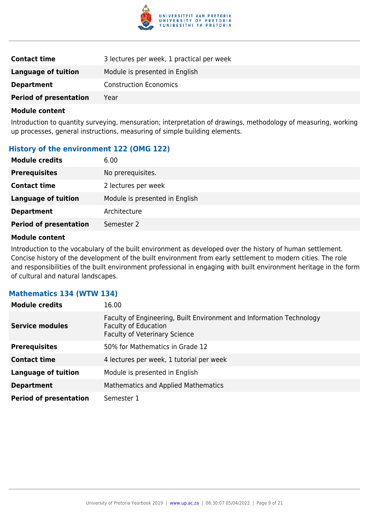

| <b>Contact time</b>           | 3 lectures per week, 1 practical per week |
|-------------------------------|-------------------------------------------|
| Language of tuition           | Module is presented in English            |
| <b>Department</b>             | <b>Construction Economics</b>             |
| <b>Period of presentation</b> | Year                                      |

Introduction to quantity surveying, mensuration; interpretation of drawings, methodology of measuring, working up processes, general instructions, measuring of simple building elements.

# **History of the environment 122 (OMG 122)**

| <b>Module credits</b>         | 6.00                           |
|-------------------------------|--------------------------------|
| <b>Prerequisites</b>          | No prerequisites.              |
| <b>Contact time</b>           | 2 lectures per week            |
| <b>Language of tuition</b>    | Module is presented in English |
| <b>Department</b>             | Architecture                   |
| <b>Period of presentation</b> | Semester 2                     |

#### **Module content**

Introduction to the vocabulary of the built environment as developed over the history of human settlement. Concise history of the development of the built environment from early settlement to modern cities. The role and responsibilities of the built environment professional in engaging with built environment heritage in the form of cultural and natural landscapes.

# **Mathematics 134 (WTW 134)**

| <b>Module credits</b>         | 16.00                                                                                                                                |
|-------------------------------|--------------------------------------------------------------------------------------------------------------------------------------|
| <b>Service modules</b>        | Faculty of Engineering, Built Environment and Information Technology<br><b>Faculty of Education</b><br>Faculty of Veterinary Science |
| <b>Prerequisites</b>          | 50% for Mathematics in Grade 12                                                                                                      |
| <b>Contact time</b>           | 4 lectures per week, 1 tutorial per week                                                                                             |
| <b>Language of tuition</b>    | Module is presented in English                                                                                                       |
| <b>Department</b>             | <b>Mathematics and Applied Mathematics</b>                                                                                           |
| <b>Period of presentation</b> | Semester 1                                                                                                                           |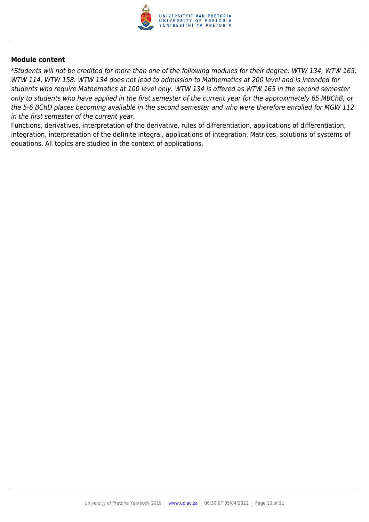

\*Students will not be credited for more than one of the following modules for their degree: WTW 134, WTW 165, WTW 114, WTW 158. WTW 134 does not lead to admission to Mathematics at 200 level and is intended for students who require Mathematics at 100 level only. WTW 134 is offered as WTW 165 in the second semester only to students who have applied in the first semester of the current year for the approximately 65 MBChB, or the 5-6 BChD places becoming available in the second semester and who were therefore enrolled for MGW 112 in the first semester of the current year.

Functions, derivatives, interpretation of the derivative, rules of differentiation, applications of differentiation, integration, interpretation of the definite integral, applications of integration. Matrices, solutions of systems of equations. All topics are studied in the context of applications.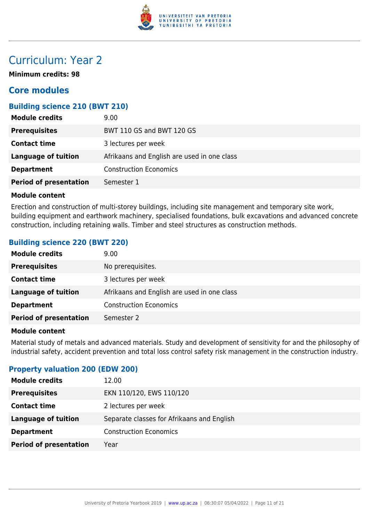

# Curriculum: Year 2

**Minimum credits: 98**

# **Core modules**

# **Building science 210 (BWT 210)**

| <b>Module credits</b>         | 9.00                                        |
|-------------------------------|---------------------------------------------|
| <b>Prerequisites</b>          | BWT 110 GS and BWT 120 GS                   |
| <b>Contact time</b>           | 3 lectures per week                         |
| Language of tuition           | Afrikaans and English are used in one class |
| <b>Department</b>             | <b>Construction Economics</b>               |
| <b>Period of presentation</b> | Semester 1                                  |

#### **Module content**

Erection and construction of multi-storey buildings, including site management and temporary site work, building equipment and earthwork machinery, specialised foundations, bulk excavations and advanced concrete construction, including retaining walls. Timber and steel structures as construction methods.

#### **Building science 220 (BWT 220)**

| <b>Module credits</b>         | 9.00                                        |
|-------------------------------|---------------------------------------------|
| <b>Prerequisites</b>          | No prerequisites.                           |
| <b>Contact time</b>           | 3 lectures per week                         |
| <b>Language of tuition</b>    | Afrikaans and English are used in one class |
| <b>Department</b>             | <b>Construction Economics</b>               |
| <b>Period of presentation</b> | Semester 2                                  |

#### **Module content**

Material study of metals and advanced materials. Study and development of sensitivity for and the philosophy of industrial safety, accident prevention and total loss control safety risk management in the construction industry.

#### **Property valuation 200 (EDW 200)**

| <b>Module credits</b>         | 12.00                                      |
|-------------------------------|--------------------------------------------|
| <b>Prerequisites</b>          | EKN 110/120, EWS 110/120                   |
| <b>Contact time</b>           | 2 lectures per week                        |
| <b>Language of tuition</b>    | Separate classes for Afrikaans and English |
| <b>Department</b>             | <b>Construction Economics</b>              |
| <b>Period of presentation</b> | Year                                       |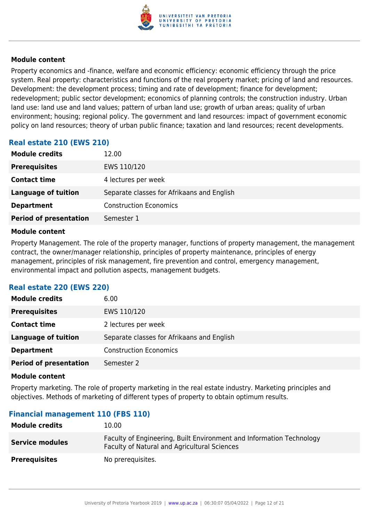

Property economics and -finance, welfare and economic efficiency: economic efficiency through the price system. Real property: characteristics and functions of the real property market; pricing of land and resources. Development: the development process; timing and rate of development; finance for development; redevelopment; public sector development; economics of planning controls; the construction industry. Urban land use: land use and land values; pattern of urban land use; growth of urban areas; quality of urban environment; housing; regional policy. The government and land resources: impact of government economic policy on land resources; theory of urban public finance; taxation and land resources; recent developments.

# **Real estate 210 (EWS 210)**

| <b>Module credits</b>         | 12.00                                      |
|-------------------------------|--------------------------------------------|
| <b>Prerequisites</b>          | EWS 110/120                                |
| <b>Contact time</b>           | 4 lectures per week                        |
| Language of tuition           | Separate classes for Afrikaans and English |
| <b>Department</b>             | <b>Construction Economics</b>              |
| <b>Period of presentation</b> | Semester 1                                 |

#### **Module content**

Property Management. The role of the property manager, functions of property management, the management contract, the owner/manager relationship, principles of property maintenance, principles of energy management, principles of risk management, fire prevention and control, emergency management, environmental impact and pollution aspects, management budgets.

# **Real estate 220 (EWS 220)**

| <b>Module credits</b>         | 6.00                                       |
|-------------------------------|--------------------------------------------|
| <b>Prerequisites</b>          | EWS 110/120                                |
| <b>Contact time</b>           | 2 lectures per week                        |
| <b>Language of tuition</b>    | Separate classes for Afrikaans and English |
| <b>Department</b>             | <b>Construction Economics</b>              |
| <b>Period of presentation</b> | Semester 2                                 |

#### **Module content**

Property marketing. The role of property marketing in the real estate industry. Marketing principles and objectives. Methods of marketing of different types of property to obtain optimum results.

# **Financial management 110 (FBS 110)**

| <b>Module credits</b>  | 10.00                                                                                                                |
|------------------------|----------------------------------------------------------------------------------------------------------------------|
| <b>Service modules</b> | Faculty of Engineering, Built Environment and Information Technology<br>Faculty of Natural and Agricultural Sciences |
| <b>Prerequisites</b>   | No prerequisites.                                                                                                    |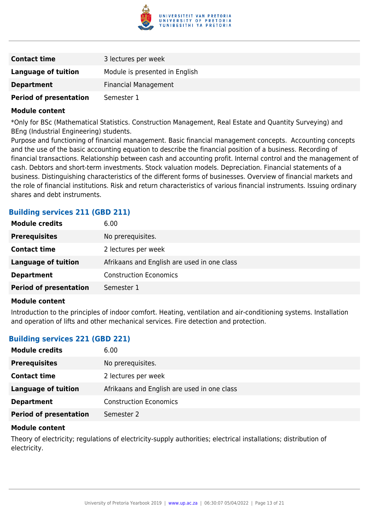

| <b>Contact time</b>           | 3 lectures per week            |
|-------------------------------|--------------------------------|
| Language of tuition           | Module is presented in English |
| <b>Department</b>             | <b>Financial Management</b>    |
| <b>Period of presentation</b> | Semester 1                     |

\*Only for BSc (Mathematical Statistics. Construction Management, Real Estate and Quantity Surveying) and BEng (Industrial Engineering) students.

Purpose and functioning of financial management. Basic financial management concepts. Accounting concepts and the use of the basic accounting equation to describe the financial position of a business. Recording of financial transactions. Relationship between cash and accounting profit. Internal control and the management of cash. Debtors and short-term investments. Stock valuation models. Depreciation. Financial statements of a business. Distinguishing characteristics of the different forms of businesses. Overview of financial markets and the role of financial institutions. Risk and return characteristics of various financial instruments. Issuing ordinary shares and debt instruments.

# **Building services 211 (GBD 211)**

| <b>Module credits</b>         | 6.00                                        |
|-------------------------------|---------------------------------------------|
| <b>Prerequisites</b>          | No prerequisites.                           |
| <b>Contact time</b>           | 2 lectures per week                         |
| <b>Language of tuition</b>    | Afrikaans and English are used in one class |
| <b>Department</b>             | <b>Construction Economics</b>               |
| <b>Period of presentation</b> | Semester 1                                  |

#### **Module content**

Introduction to the principles of indoor comfort. Heating, ventilation and air-conditioning systems. Installation and operation of lifts and other mechanical services. Fire detection and protection.

#### **Building services 221 (GBD 221)**

| <b>Module credits</b>         | 6.00                                        |
|-------------------------------|---------------------------------------------|
| <b>Prerequisites</b>          | No prerequisites.                           |
| <b>Contact time</b>           | 2 lectures per week                         |
| Language of tuition           | Afrikaans and English are used in one class |
| <b>Department</b>             | <b>Construction Economics</b>               |
| <b>Period of presentation</b> | Semester 2                                  |

#### **Module content**

Theory of electricity; regulations of electricity-supply authorities; electrical installations; distribution of electricity.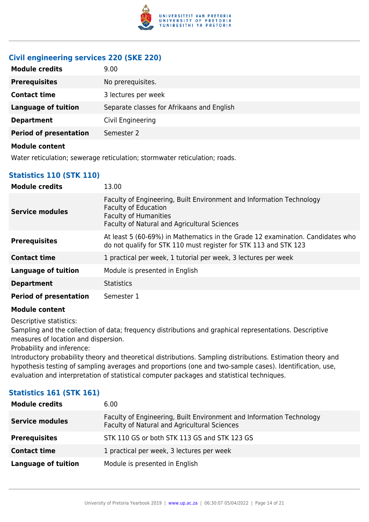

# **Civil engineering services 220 (SKE 220)**

| <b>Module credits</b>         | 9.00                                       |
|-------------------------------|--------------------------------------------|
| <b>Prerequisites</b>          | No prerequisites.                          |
| <b>Contact time</b>           | 3 lectures per week                        |
| <b>Language of tuition</b>    | Separate classes for Afrikaans and English |
| <b>Department</b>             | Civil Engineering                          |
| <b>Period of presentation</b> | Semester 2                                 |
| .                             |                                            |

#### **Module content**

Water reticulation; sewerage reticulation; stormwater reticulation; roads.

# **Statistics 110 (STK 110)**

| <b>Module credits</b>         | 13.00                                                                                                                                                                               |
|-------------------------------|-------------------------------------------------------------------------------------------------------------------------------------------------------------------------------------|
| Service modules               | Faculty of Engineering, Built Environment and Information Technology<br><b>Faculty of Education</b><br><b>Faculty of Humanities</b><br>Faculty of Natural and Agricultural Sciences |
| <b>Prerequisites</b>          | At least 5 (60-69%) in Mathematics in the Grade 12 examination. Candidates who<br>do not qualify for STK 110 must register for STK 113 and STK 123                                  |
| <b>Contact time</b>           | 1 practical per week, 1 tutorial per week, 3 lectures per week                                                                                                                      |
| <b>Language of tuition</b>    | Module is presented in English                                                                                                                                                      |
| <b>Department</b>             | <b>Statistics</b>                                                                                                                                                                   |
| <b>Period of presentation</b> | Semester 1                                                                                                                                                                          |

#### **Module content**

Descriptive statistics:

Sampling and the collection of data; frequency distributions and graphical representations. Descriptive measures of location and dispersion.

Probability and inference:

Introductory probability theory and theoretical distributions. Sampling distributions. Estimation theory and hypothesis testing of sampling averages and proportions (one and two-sample cases). Identification, use, evaluation and interpretation of statistical computer packages and statistical techniques.

# **Statistics 161 (STK 161)**

| <b>Module credits</b>  | 6.00                                                                                                                 |
|------------------------|----------------------------------------------------------------------------------------------------------------------|
| <b>Service modules</b> | Faculty of Engineering, Built Environment and Information Technology<br>Faculty of Natural and Agricultural Sciences |
| <b>Prerequisites</b>   | STK 110 GS or both STK 113 GS and STK 123 GS                                                                         |
| <b>Contact time</b>    | 1 practical per week, 3 lectures per week                                                                            |
| Language of tuition    | Module is presented in English                                                                                       |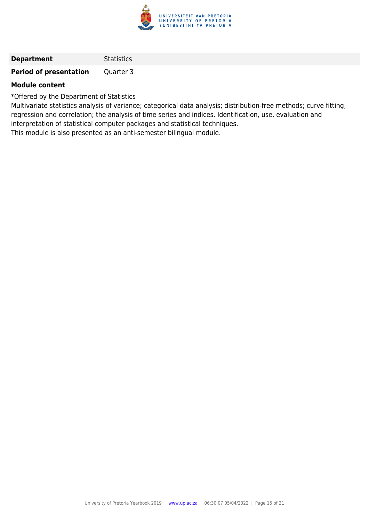

| <b>Statistics</b> |
|-------------------|
|                   |

**Period of presentation** Quarter 3

#### **Module content**

\*Offered by the Department of Statistics

Multivariate statistics analysis of variance; categorical data analysis; distribution-free methods; curve fitting, regression and correlation; the analysis of time series and indices. Identification, use, evaluation and interpretation of statistical computer packages and statistical techniques.

This module is also presented as an anti-semester bilingual module.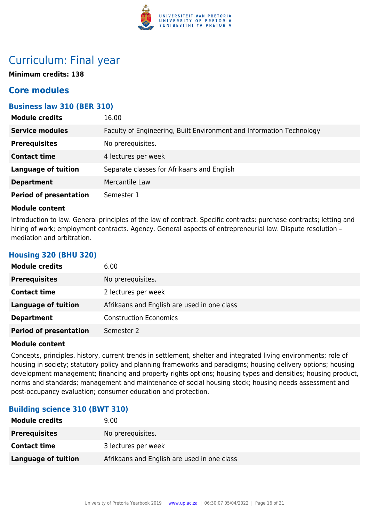

# Curriculum: Final year

**Minimum credits: 138**

# **Core modules**

# **Business law 310 (BER 310)**

| <b>Module credits</b>         | 16.00                                                                |
|-------------------------------|----------------------------------------------------------------------|
| <b>Service modules</b>        | Faculty of Engineering, Built Environment and Information Technology |
| <b>Prerequisites</b>          | No prerequisites.                                                    |
| <b>Contact time</b>           | 4 lectures per week                                                  |
| <b>Language of tuition</b>    | Separate classes for Afrikaans and English                           |
| <b>Department</b>             | Mercantile Law                                                       |
| <b>Period of presentation</b> | Semester 1                                                           |

#### **Module content**

**Housing 320 (BHU 320)**

Introduction to law. General principles of the law of contract. Specific contracts: purchase contracts; letting and hiring of work; employment contracts. Agency. General aspects of entrepreneurial law. Dispute resolution mediation and arbitration.

| <b>Module credits</b>         | 6.00                                        |
|-------------------------------|---------------------------------------------|
| <b>Prerequisites</b>          | No prerequisites.                           |
| <b>Contact time</b>           | 2 lectures per week                         |
| <b>Language of tuition</b>    | Afrikaans and English are used in one class |
| <b>Department</b>             | <b>Construction Economics</b>               |
| <b>Period of presentation</b> | Semester 2                                  |

#### **Module content**

Concepts, principles, history, current trends in settlement, shelter and integrated living environments; role of housing in society; statutory policy and planning frameworks and paradigms; housing delivery options; housing development management; financing and property rights options; housing types and densities; housing product, norms and standards; management and maintenance of social housing stock; housing needs assessment and post-occupancy evaluation; consumer education and protection.

# **Building science 310 (BWT 310)**

| <b>Module credits</b>      | 9.00                                        |
|----------------------------|---------------------------------------------|
| <b>Prerequisites</b>       | No prerequisites.                           |
| <b>Contact time</b>        | 3 lectures per week                         |
| <b>Language of tuition</b> | Afrikaans and English are used in one class |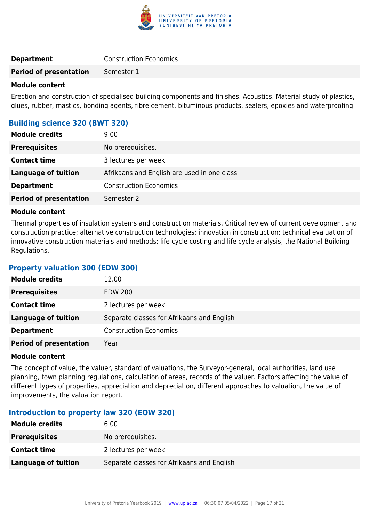

| <b>Construction Economics</b><br><b>Department</b> |
|----------------------------------------------------|
|----------------------------------------------------|

**Period of presentation** Semester 1

#### **Module content**

Erection and construction of specialised building components and finishes. Acoustics. Material study of plastics, glues, rubber, mastics, bonding agents, fibre cement, bituminous products, sealers, epoxies and waterproofing.

### **Building science 320 (BWT 320)**

| <b>Module credits</b>         | 9.00                                        |
|-------------------------------|---------------------------------------------|
| <b>Prerequisites</b>          | No prerequisites.                           |
| <b>Contact time</b>           | 3 lectures per week                         |
| <b>Language of tuition</b>    | Afrikaans and English are used in one class |
| <b>Department</b>             | <b>Construction Economics</b>               |
| <b>Period of presentation</b> | Semester 2                                  |

#### **Module content**

Thermal properties of insulation systems and construction materials. Critical review of current development and construction practice; alternative construction technologies; innovation in construction; technical evaluation of innovative construction materials and methods; life cycle costing and life cycle analysis; the National Building Regulations.

# **Property valuation 300 (EDW 300)**

| <b>Module credits</b>         | 12.00                                      |
|-------------------------------|--------------------------------------------|
| <b>Prerequisites</b>          | <b>EDW 200</b>                             |
| <b>Contact time</b>           | 2 lectures per week                        |
| <b>Language of tuition</b>    | Separate classes for Afrikaans and English |
| <b>Department</b>             | <b>Construction Economics</b>              |
| <b>Period of presentation</b> | Year                                       |

#### **Module content**

The concept of value, the valuer, standard of valuations, the Surveyor-general, local authorities, land use planning, town planning regulations, calculation of areas, records of the valuer. Factors affecting the value of different types of properties, appreciation and depreciation, different approaches to valuation, the value of improvements, the valuation report.

#### **Introduction to property law 320 (EOW 320)**

| <b>Module credits</b> | 6.00                                       |
|-----------------------|--------------------------------------------|
| <b>Prerequisites</b>  | No prerequisites.                          |
| <b>Contact time</b>   | 2 lectures per week                        |
| Language of tuition   | Separate classes for Afrikaans and English |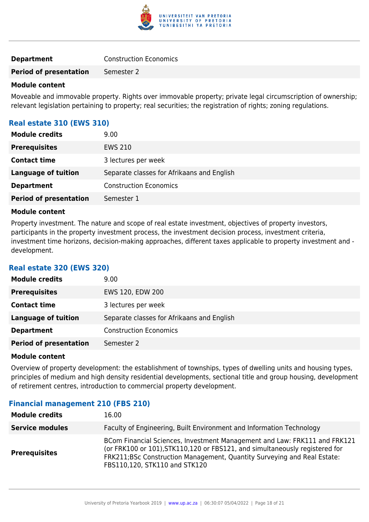

|  | <b>Construction Economics</b> |
|--|-------------------------------|

**Period of presentation** Semester 2

#### **Module content**

Moveable and immovable property. Rights over immovable property; private legal circumscription of ownership; relevant legislation pertaining to property; real securities; the registration of rights; zoning regulations.

### **Real estate 310 (EWS 310)**

| <b>Module credits</b>         | 9.00                                       |
|-------------------------------|--------------------------------------------|
| <b>Prerequisites</b>          | <b>EWS 210</b>                             |
| <b>Contact time</b>           | 3 lectures per week                        |
| <b>Language of tuition</b>    | Separate classes for Afrikaans and English |
| <b>Department</b>             | <b>Construction Economics</b>              |
| <b>Period of presentation</b> | Semester 1                                 |

#### **Module content**

Property investment. The nature and scope of real estate investment, objectives of property investors, participants in the property investment process, the investment decision process, investment criteria, investment time horizons, decision-making approaches, different taxes applicable to property investment and development.

# **Real estate 320 (EWS 320)**

| <b>Module credits</b>         | 9.00                                       |
|-------------------------------|--------------------------------------------|
| <b>Prerequisites</b>          | EWS 120, EDW 200                           |
| <b>Contact time</b>           | 3 lectures per week                        |
| Language of tuition           | Separate classes for Afrikaans and English |
| <b>Department</b>             | <b>Construction Economics</b>              |
| <b>Period of presentation</b> | Semester 2                                 |

#### **Module content**

Overview of property development: the establishment of townships, types of dwelling units and housing types, principles of medium and high density residential developments, sectional title and group housing, development of retirement centres, introduction to commercial property development.

#### **Financial management 210 (FBS 210)**

| <b>Module credits</b>  | 16.00                                                                                                                                                                                                                                                                 |
|------------------------|-----------------------------------------------------------------------------------------------------------------------------------------------------------------------------------------------------------------------------------------------------------------------|
| <b>Service modules</b> | Faculty of Engineering, Built Environment and Information Technology                                                                                                                                                                                                  |
| <b>Prerequisites</b>   | BCom Financial Sciences, Investment Management and Law: FRK111 and FRK121<br>(or FRK100 or 101), STK110, 120 or FBS121, and simultaneously registered for<br>FRK211;BSc Construction Management, Quantity Surveying and Real Estate:<br>FBS110,120, STK110 and STK120 |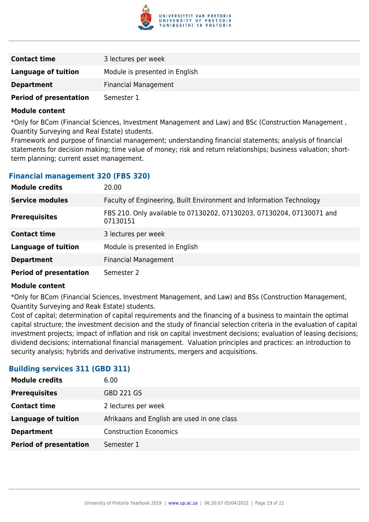

| <b>Contact time</b>           | 3 lectures per week            |
|-------------------------------|--------------------------------|
| Language of tuition           | Module is presented in English |
| <b>Department</b>             | <b>Financial Management</b>    |
| <b>Period of presentation</b> | Semester 1                     |

\*Only for BCom (Financial Sciences, Investment Management and Law) and BSc (Construction Management , Quantity Surveying and Real Estate) students.

Framework and purpose of financial management; understanding financial statements; analysis of financial statements for decision making; time value of money; risk and return relationships; business valuation; shortterm planning; current asset management.

#### **Financial management 320 (FBS 320)**

| <b>Module credits</b>         | 20.00                                                                             |
|-------------------------------|-----------------------------------------------------------------------------------|
| <b>Service modules</b>        | Faculty of Engineering, Built Environment and Information Technology              |
| <b>Prerequisites</b>          | FBS 210. Only available to 07130202, 07130203, 07130204, 07130071 and<br>07130151 |
| <b>Contact time</b>           | 3 lectures per week                                                               |
| <b>Language of tuition</b>    | Module is presented in English                                                    |
| <b>Department</b>             | <b>Financial Management</b>                                                       |
| <b>Period of presentation</b> | Semester 2                                                                        |

#### **Module content**

\*Only for BCom (Financial Sciences, Investment Management, and Law) and BSs (Construction Management, Quantity Surveying and Reak Estate) students.

Cost of capital; determination of capital requirements and the financing of a business to maintain the optimal capital structure; the investment decision and the study of financial selection criteria in the evaluation of capital investment projects; impact of inflation and risk on capital investment decisions; evaluation of leasing decisions; dividend decisions; international financial management. Valuation principles and practices: an introduction to security analysis; hybrids and derivative instruments, mergers and acquisitions.

#### **Building services 311 (GBD 311)**

| <b>Module credits</b>         | 6.00                                        |
|-------------------------------|---------------------------------------------|
| <b>Prerequisites</b>          | <b>GBD 221 GS</b>                           |
| <b>Contact time</b>           | 2 lectures per week                         |
| <b>Language of tuition</b>    | Afrikaans and English are used in one class |
| <b>Department</b>             | <b>Construction Economics</b>               |
| <b>Period of presentation</b> | Semester 1                                  |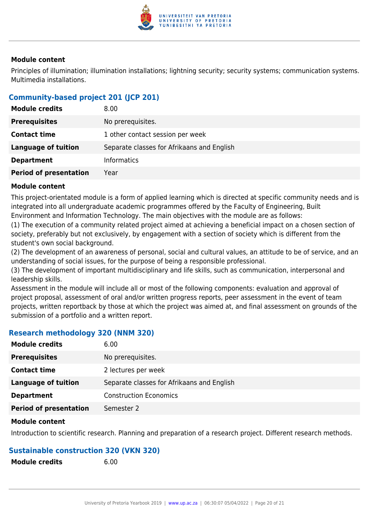

Principles of illumination; illumination installations; lightning security; security systems; communication systems. Multimedia installations.

# **Community-based project 201 (JCP 201)**

| <b>Module credits</b>         | 8.00                                       |
|-------------------------------|--------------------------------------------|
| <b>Prerequisites</b>          | No prerequisites.                          |
| <b>Contact time</b>           | 1 other contact session per week           |
| <b>Language of tuition</b>    | Separate classes for Afrikaans and English |
| <b>Department</b>             | <b>Informatics</b>                         |
| <b>Period of presentation</b> | Year                                       |

#### **Module content**

This project-orientated module is a form of applied learning which is directed at specific community needs and is integrated into all undergraduate academic programmes offered by the Faculty of Engineering, Built Environment and Information Technology. The main objectives with the module are as follows:

(1) The execution of a community related project aimed at achieving a beneficial impact on a chosen section of society, preferably but not exclusively, by engagement with a section of society which is different from the student's own social background.

(2) The development of an awareness of personal, social and cultural values, an attitude to be of service, and an understanding of social issues, for the purpose of being a responsible professional.

(3) The development of important multidisciplinary and life skills, such as communication, interpersonal and leadership skills.

Assessment in the module will include all or most of the following components: evaluation and approval of project proposal, assessment of oral and/or written progress reports, peer assessment in the event of team projects, written reportback by those at which the project was aimed at, and final assessment on grounds of the submission of a portfolio and a written report.

# **Research methodology 320 (NNM 320)**

| <b>Module credits</b>         | 6.00                                       |
|-------------------------------|--------------------------------------------|
| <b>Prerequisites</b>          | No prerequisites.                          |
| <b>Contact time</b>           | 2 lectures per week                        |
| <b>Language of tuition</b>    | Separate classes for Afrikaans and English |
| <b>Department</b>             | <b>Construction Economics</b>              |
| <b>Period of presentation</b> | Semester 2                                 |

#### **Module content**

Introduction to scientific research. Planning and preparation of a research project. Different research methods.

# **Sustainable construction 320 (VKN 320)**

| <b>Module credits</b> | 6.00 |
|-----------------------|------|
|                       |      |